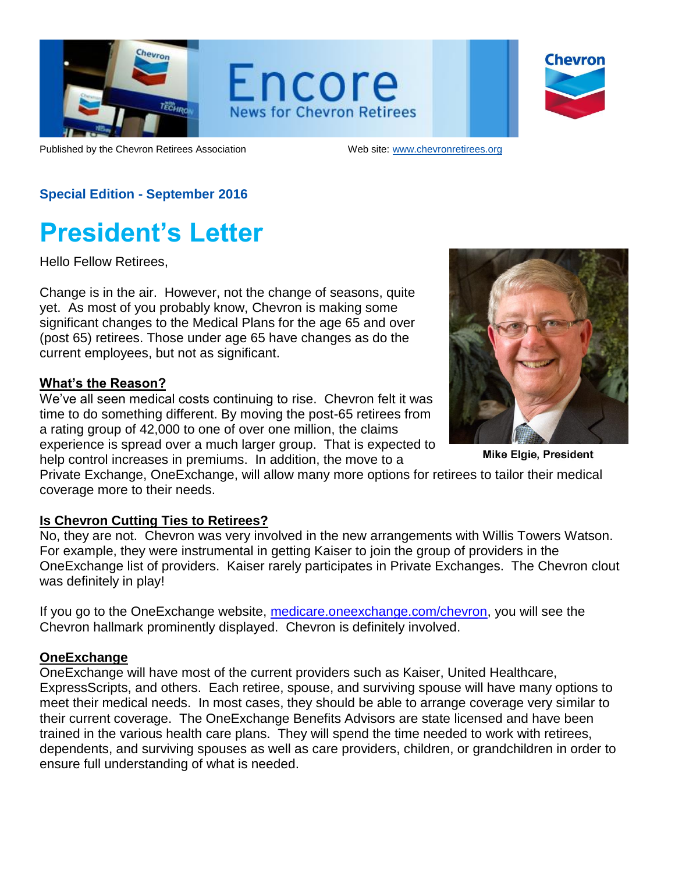

Encore **News for Chevron Retirees** 



Published by the Chevron Retirees Association Web site: [www.chevronretirees.org](http://www.chevronretirees.org/)

### **Special Edition - September 2016**

## **President's Letter**

Hello Fellow Retirees,

Change is in the air. However, not the change of seasons, quite yet. As most of you probably know, Chevron is making some significant changes to the Medical Plans for the age 65 and over (post 65) retirees. Those under age 65 have changes as do the current employees, but not as significant.

#### **What's the Reason?**

We've all seen medical costs continuing to rise. Chevron felt it was time to do something different. By moving the post-65 retirees from a rating group of 42,000 to one of over one million, the claims experience is spread over a much larger group. That is expected to help control increases in premiums. In addition, the move to a



**Mike Elgie, President** 

Private Exchange, OneExchange, will allow many more options for retirees to tailor their medical coverage more to their needs.

#### **Is Chevron Cutting Ties to Retirees?**

No, they are not. Chevron was very involved in the new arrangements with Willis Towers Watson. For example, they were instrumental in getting Kaiser to join the group of providers in the OneExchange list of providers. Kaiser rarely participates in Private Exchanges. The Chevron clout was definitely in play!

If you go to the OneExchange website, [medicare.oneexchange.com/chevron,](https://medicare.oneexchange.com/chevron) you will see the Chevron hallmark prominently displayed. Chevron is definitely involved.

#### **OneExchange**

OneExchange will have most of the current providers such as Kaiser, United Healthcare, ExpressScripts, and others. Each retiree, spouse, and surviving spouse will have many options to meet their medical needs. In most cases, they should be able to arrange coverage very similar to their current coverage. The OneExchange Benefits Advisors are state licensed and have been trained in the various health care plans. They will spend the time needed to work with retirees, dependents, and surviving spouses as well as care providers, children, or grandchildren in order to ensure full understanding of what is needed.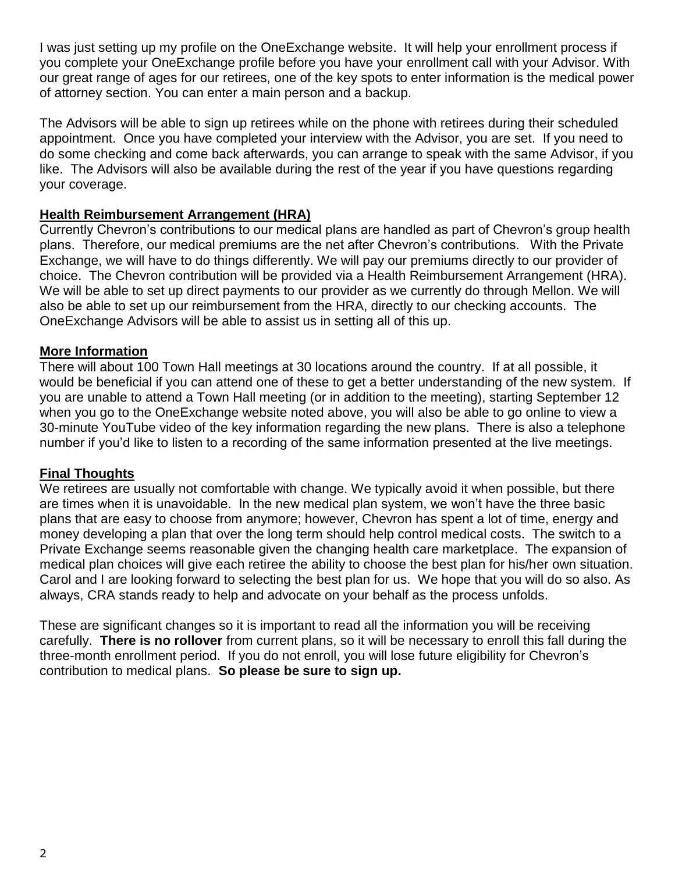I was just setting up my profile on the OneExchange website. It will help your enrollment process if you complete your OneExchange profile before you have your enrollment call with your Advisor. With our great range of ages for our retirees, one of the key spots to enter information is the medical power of attorney section. You can enter a main person and a backup.

The Advisors will be able to sign up retirees while on the phone with retirees during their scheduled appointment. Once you have completed your interview with the Advisor, you are set. If you need to do some checking and come back afterwards, you can arrange to speak with the same Advisor, if you like. The Advisors will also be available during the rest of the year if you have questions regarding your coverage.

#### **Health Reimbursement Arrangement (HRA)**

Currently Chevron's contributions to our medical plans are handled as part of Chevron's group health plans. Therefore, our medical premiums are the net after Chevron's contributions. With the Private Exchange, we will have to do things differently. We will pay our premiums directly to our provider of choice. The Chevron contribution will be provided via a Health Reimbursement Arrangement (HRA). We will be able to set up direct payments to our provider as we currently do through Mellon. We will also be able to set up our reimbursement from the HRA, directly to our checking accounts. The OneExchange Advisors will be able to assist us in setting all of this up.

#### **More Information**

There will about 100 Town Hall meetings at 30 locations around the country. If at all possible, it would be beneficial if you can attend one of these to get a better understanding of the new system. If you are unable to attend a Town Hall meeting (or in addition to the meeting), starting September 12 when you go to the OneExchange website noted above, you will also be able to go online to view a 30-minute YouTube video of the key information regarding the new plans. There is also a telephone number if you'd like to listen to a recording of the same information presented at the live meetings.

#### **Final Thoughts**

We retirees are usually not comfortable with change. We typically avoid it when possible, but there are times when it is unavoidable. In the new medical plan system, we won't have the three basic plans that are easy to choose from anymore; however, Chevron has spent a lot of time, energy and money developing a plan that over the long term should help control medical costs. The switch to a Private Exchange seems reasonable given the changing health care marketplace. The expansion of medical plan choices will give each retiree the ability to choose the best plan for his/her own situation. Carol and I are looking forward to selecting the best plan for us. We hope that you will do so also. As always, CRA stands ready to help and advocate on your behalf as the process unfolds.

These are significant changes so it is important to read all the information you will be receiving carefully. **There is no rollover** from current plans, so it will be necessary to enroll this fall during the three-month enrollment period. If you do not enroll, you will lose future eligibility for Chevron's contribution to medical plans. **So please be sure to sign up.**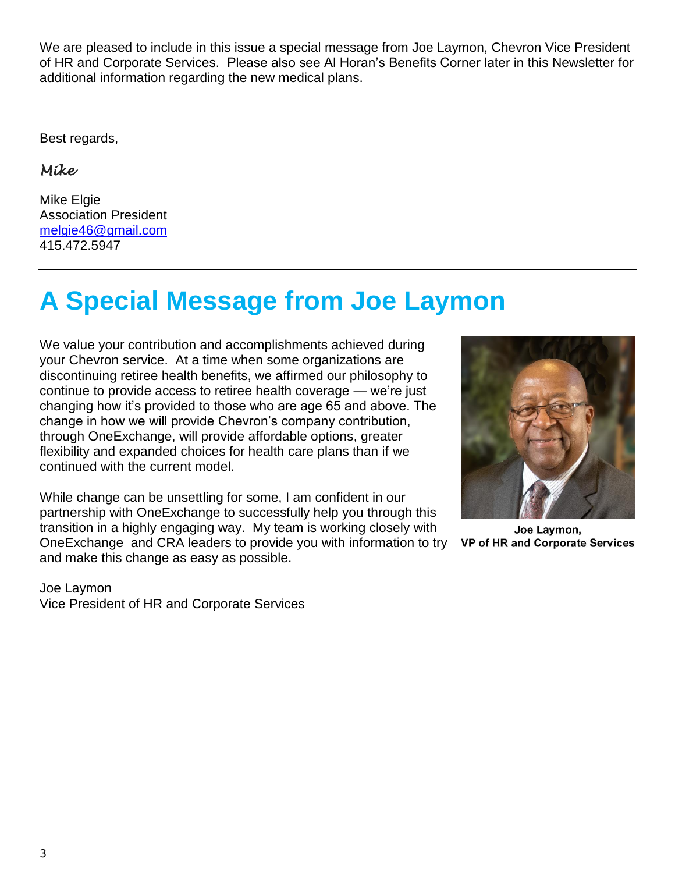We are pleased to include in this issue a special message from Joe Laymon, Chevron Vice President of HR and Corporate Services. Please also see Al Horan's Benefits Corner later in this Newsletter for additional information regarding the new medical plans.

Best regards,

*Mike* 

Mike Elgie Association President [melgie46@gmail.com](mailto:melgie46@gmail.com) 415.472.5947

# **A Special Message from Joe Laymon**

We value your contribution and accomplishments achieved during your Chevron service. At a time when some organizations are discontinuing retiree health benefits, we affirmed our philosophy to continue to provide access to retiree health coverage — we're just changing how it's provided to those who are age 65 and above. The change in how we will provide Chevron's company contribution, through OneExchange, will provide affordable options, greater flexibility and expanded choices for health care plans than if we continued with the current model.

While change can be unsettling for some, I am confident in our partnership with OneExchange to successfully help you through this transition in a highly engaging way. My team is working closely with OneExchange and CRA leaders to provide you with information to try and make this change as easy as possible.





Joe Laymon. VP of HR and Corporate Services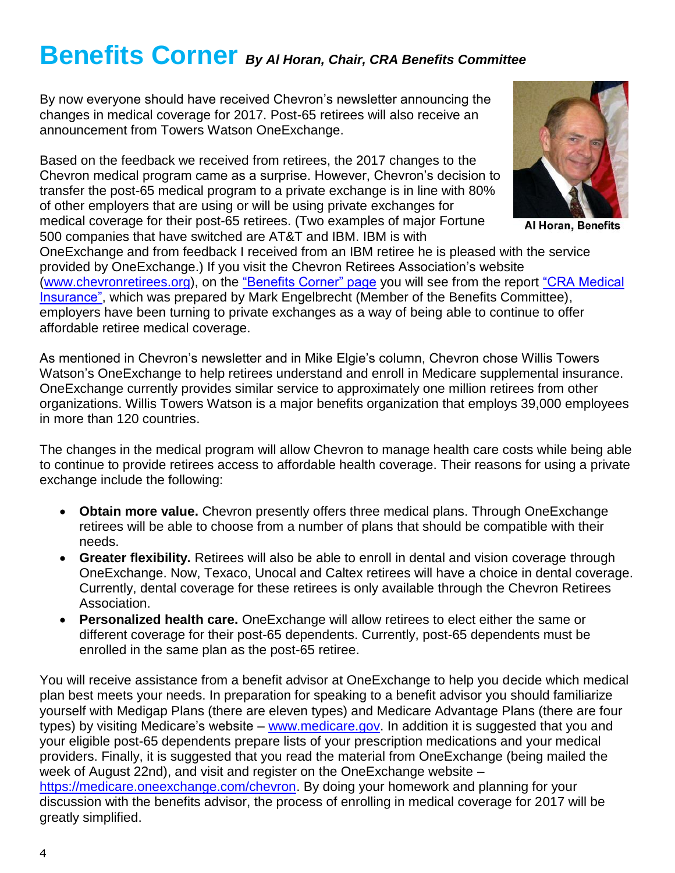### **Benefits Corner** *By Al Horan, Chair, CRA Benefits Committee*

By now everyone should have received Chevron's newsletter announcing the changes in medical coverage for 2017. Post-65 retirees will also receive an announcement from Towers Watson OneExchange.

Based on the feedback we received from retirees, the 2017 changes to the Chevron medical program came as a surprise. However, Chevron's decision to transfer the post-65 medical program to a private exchange is in line with 80% of other employers that are using or will be using private exchanges for medical coverage for their post-65 retirees. (Two examples of major Fortune 500 companies that have switched are AT&T and IBM. IBM is with OneExchange and from feedback I received from an IBM retiree he is pleased with the service provided by OneExchange.) If you visit the Chevron Retirees Association's website



Al Horan, Benefits

[\(www.chevronretirees.org\)](http://www.chevronretirees.org/), on the ["Benefits Corner" page](http://chevronretirees.org/BenefitsGroup/BenefitsCorner.aspx) you will see from the report "CRA Medical [Insurance",](http://chevronretirees.org/sf-docs/default-source/benefits-messages/cra-medical-insurance-report---aug-14-2016.pdf?sfvrsn=4) which was prepared by Mark Engelbrecht (Member of the Benefits Committee), employers have been turning to private exchanges as a way of being able to continue to offer affordable retiree medical coverage.

As mentioned in Chevron's newsletter and in Mike Elgie's column, Chevron chose Willis Towers Watson's OneExchange to help retirees understand and enroll in Medicare supplemental insurance. OneExchange currently provides similar service to approximately one million retirees from other organizations. Willis Towers Watson is a major benefits organization that employs 39,000 employees in more than 120 countries.

The changes in the medical program will allow Chevron to manage health care costs while being able to continue to provide retirees access to affordable health coverage. Their reasons for using a private exchange include the following:

- **Obtain more value.** Chevron presently offers three medical plans. Through OneExchange retirees will be able to choose from a number of plans that should be compatible with their needs.
- **Greater flexibility.** Retirees will also be able to enroll in dental and vision coverage through OneExchange. Now, Texaco, Unocal and Caltex retirees will have a choice in dental coverage. Currently, dental coverage for these retirees is only available through the Chevron Retirees Association.
- **Personalized health care.** OneExchange will allow retirees to elect either the same or different coverage for their post-65 dependents. Currently, post-65 dependents must be enrolled in the same plan as the post-65 retiree.

You will receive assistance from a benefit advisor at OneExchange to help you decide which medical plan best meets your needs. In preparation for speaking to a benefit advisor you should familiarize yourself with Medigap Plans (there are eleven types) and Medicare Advantage Plans (there are four types) by visiting Medicare's website – [www.medicare.gov.](http://www.medicare.gov/) In addition it is suggested that you and your eligible post-65 dependents prepare lists of your prescription medications and your medical providers. Finally, it is suggested that you read the material from OneExchange (being mailed the week of August 22nd), and visit and register on the OneExchange website – [https://medicare.oneexchange.com/chevron.](https://medicare.oneexchange.com/chevron) By doing your homework and planning for your discussion with the benefits advisor, the process of enrolling in medical coverage for 2017 will be greatly simplified.